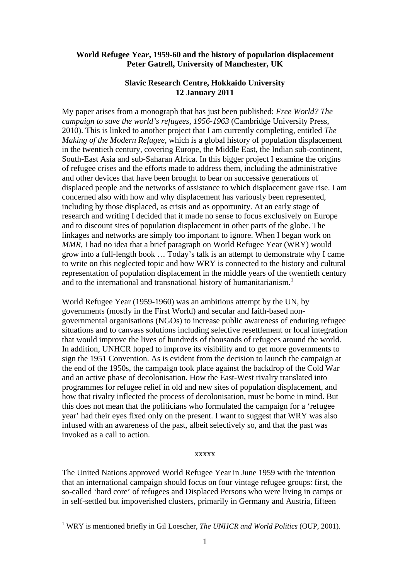## **World Refugee Year, 1959-60 and the history of population displacement Peter Gatrell, University of Manchester, UK**

# **Slavic Research Centre, Hokkaido University 12 January 2011**

My paper arises from a monograph that has just been published: *Free World? The campaign to save the world's refugees, 1956-1963* (Cambridge University Press, 2010). This is linked to another project that I am currently completing, entitled *The Making of the Modern Refugee*, which is a global history of population displacement in the twentieth century, covering Europe, the Middle East, the Indian sub-continent, South-East Asia and sub-Saharan Africa. In this bigger project I examine the origins of refugee crises and the efforts made to address them, including the administrative and other devices that have been brought to bear on successive generations of displaced people and the networks of assistance to which displacement gave rise. I am concerned also with how and why displacement has variously been represented, including by those displaced, as crisis and as opportunity. At an early stage of research and writing I decided that it made no sense to focus exclusively on Europe and to discount sites of population displacement in other parts of the globe. The linkages and networks are simply too important to ignore. When I began work on *MMR*, I had no idea that a brief paragraph on World Refugee Year (WRY) would grow into a full-length book … Today's talk is an attempt to demonstrate why I came to write on this neglected topic and how WRY is connected to the history and cultural representation of population displacement in the middle years of the twentieth century and to the international and transnational history of humanitarianism.<sup>1</sup>

World Refugee Year (1959-1960) was an ambitious attempt by the UN, by governments (mostly in the First World) and secular and faith-based nongovernmental organisations (NGOs) to increase public awareness of enduring refugee situations and to canvass solutions including selective resettlement or local integration that would improve the lives of hundreds of thousands of refugees around the world. In addition, UNHCR hoped to improve its visibility and to get more governments to sign the 1951 Convention. As is evident from the decision to launch the campaign at the end of the 1950s, the campaign took place against the backdrop of the Cold War and an active phase of decolonisation. How the East-West rivalry translated into programmes for refugee relief in old and new sites of population displacement, and how that rivalry inflected the process of decolonisation, must be borne in mind. But this does not mean that the politicians who formulated the campaign for a 'refugee year' had their eyes fixed only on the present. I want to suggest that WRY was also infused with an awareness of the past, albeit selectively so, and that the past was invoked as a call to action.

## xxxxx

The United Nations approved World Refugee Year in June 1959 with the intention that an international campaign should focus on four vintage refugee groups: first, the so-called 'hard core' of refugees and Displaced Persons who were living in camps or in self-settled but impoverished clusters, primarily in Germany and Austria, fifteen

<sup>&</sup>lt;sup>1</sup> WRY is mentioned briefly in Gil Loescher, *The UNHCR and World Politics* (OUP, 2001).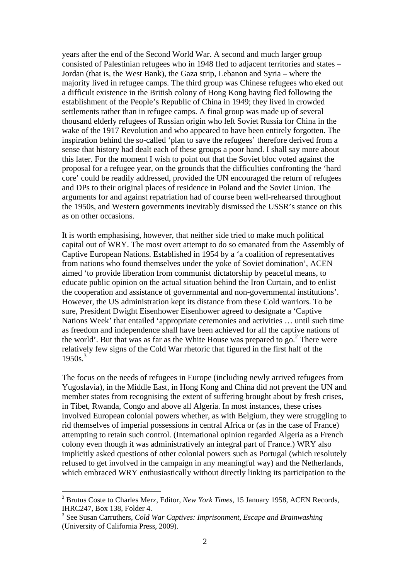years after the end of the Second World War. A second and much larger group consisted of Palestinian refugees who in 1948 fled to adjacent territories and states – Jordan (that is, the West Bank), the Gaza strip, Lebanon and Syria – where the majority lived in refugee camps. The third group was Chinese refugees who eked out a difficult existence in the British colony of Hong Kong having fled following the establishment of the People's Republic of China in 1949; they lived in crowded settlements rather than in refugee camps. A final group was made up of several thousand elderly refugees of Russian origin who left Soviet Russia for China in the wake of the 1917 Revolution and who appeared to have been entirely forgotten. The inspiration behind the so-called 'plan to save the refugees' therefore derived from a sense that history had dealt each of these groups a poor hand. I shall say more about this later. For the moment I wish to point out that the Soviet bloc voted against the proposal for a refugee year, on the grounds that the difficulties confronting the 'hard core' could be readily addressed, provided the UN encouraged the return of refugees and DPs to their original places of residence in Poland and the Soviet Union. The arguments for and against repatriation had of course been well-rehearsed throughout the 1950s, and Western governments inevitably dismissed the USSR's stance on this as on other occasions.

It is worth emphasising, however, that neither side tried to make much political capital out of WRY. The most overt attempt to do so emanated from the Assembly of Captive European Nations. Established in 1954 by a 'a coalition of representatives from nations who found themselves under the yoke of Soviet domination', ACEN aimed 'to provide liberation from communist dictatorship by peaceful means, to educate public opinion on the actual situation behind the Iron Curtain, and to enlist the cooperation and assistance of governmental and non-governmental institutions'. However, the US administration kept its distance from these Cold warriors. To be sure, President Dwight Eisenhower Eisenhower agreed to designate a 'Captive Nations Week' that entailed 'appropriate ceremonies and activities … until such time as freedom and independence shall have been achieved for all the captive nations of the world'. But that was as far as the White House was prepared to  $\overline{\text{go.}}^2$  There were relatively few signs of the Cold War rhetoric that figured in the first half of the  $1950s<sup>3</sup>$ 

The focus on the needs of refugees in Europe (including newly arrived refugees from Yugoslavia), in the Middle East, in Hong Kong and China did not prevent the UN and member states from recognising the extent of suffering brought about by fresh crises, in Tibet, Rwanda, Congo and above all Algeria. In most instances, these crises involved European colonial powers whether, as with Belgium, they were struggling to rid themselves of imperial possessions in central Africa or (as in the case of France) attempting to retain such control. (International opinion regarded Algeria as a French colony even though it was administratively an integral part of France.) WRY also implicitly asked questions of other colonial powers such as Portugal (which resolutely refused to get involved in the campaign in any meaningful way) and the Netherlands, which embraced WRY enthusiastically without directly linking its participation to the

<sup>2</sup> Brutus Coste to Charles Merz, Editor, *New York Times*, 15 January 1958, ACEN Records, IHRC247, Box 138, Folder 4.

<sup>3</sup> See Susan Carruthers, *Cold War Captives: Imprisonment, Escape and Brainwashing* (University of California Press, 2009).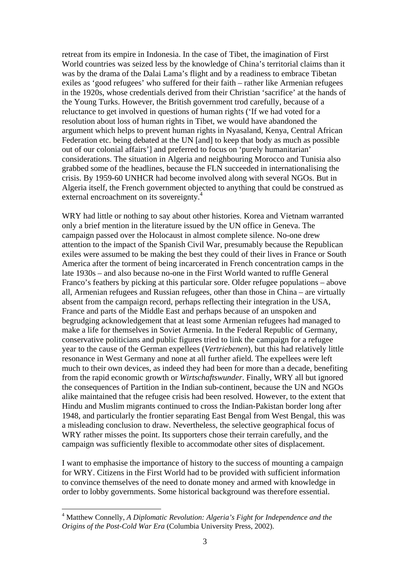retreat from its empire in Indonesia. In the case of Tibet, the imagination of First World countries was seized less by the knowledge of China's territorial claims than it was by the drama of the Dalai Lama's flight and by a readiness to embrace Tibetan exiles as 'good refugees' who suffered for their faith – rather like Armenian refugees in the 1920s, whose credentials derived from their Christian 'sacrifice' at the hands of the Young Turks. However, the British government trod carefully, because of a reluctance to get involved in questions of human rights ('If we had voted for a resolution about loss of human rights in Tibet, we would have abandoned the argument which helps to prevent human rights in Nyasaland, Kenya, Central African Federation etc. being debated at the UN [and] to keep that body as much as possible out of our colonial affairs'] and preferred to focus on 'purely humanitarian' considerations. The situation in Algeria and neighbouring Morocco and Tunisia also grabbed some of the headlines, because the FLN succeeded in internationalising the crisis. By 1959-60 UNHCR had become involved along with several NGOs. But in Algeria itself, the French government objected to anything that could be construed as external encroachment on its sovereignty.<sup>4</sup>

WRY had little or nothing to say about other histories. Korea and Vietnam warranted only a brief mention in the literature issued by the UN office in Geneva. The campaign passed over the Holocaust in almost complete silence. No-one drew attention to the impact of the Spanish Civil War, presumably because the Republican exiles were assumed to be making the best they could of their lives in France or South America after the torment of being incarcerated in French concentration camps in the late 1930s – and also because no-one in the First World wanted to ruffle General Franco's feathers by picking at this particular sore. Older refugee populations – above all, Armenian refugees and Russian refugees, other than those in China – are virtually absent from the campaign record, perhaps reflecting their integration in the USA, France and parts of the Middle East and perhaps because of an unspoken and begrudging acknowledgement that at least some Armenian refugees had managed to make a life for themselves in Soviet Armenia. In the Federal Republic of Germany, conservative politicians and public figures tried to link the campaign for a refugee year to the cause of the German expellees (*Vertriebenen*), but this had relatively little resonance in West Germany and none at all further afield. The expellees were left much to their own devices, as indeed they had been for more than a decade, benefiting from the rapid economic growth or *Wirtschaftswunder*. Finally, WRY all but ignored the consequences of Partition in the Indian sub-continent, because the UN and NGOs alike maintained that the refugee crisis had been resolved. However, to the extent that Hindu and Muslim migrants continued to cross the Indian-Pakistan border long after 1948, and particularly the frontier separating East Bengal from West Bengal, this was a misleading conclusion to draw. Nevertheless, the selective geographical focus of WRY rather misses the point. Its supporters chose their terrain carefully, and the campaign was sufficiently flexible to accommodate other sites of displacement.

I want to emphasise the importance of history to the success of mounting a campaign for WRY. Citizens in the First World had to be provided with sufficient information to convince themselves of the need to donate money and armed with knowledge in order to lobby governments. Some historical background was therefore essential.

<sup>4</sup> Matthew Connelly, *A Diplomatic Revolution: Algeria's Fight for Independence and the Origins of the Post-Cold War Era* (Columbia University Press, 2002).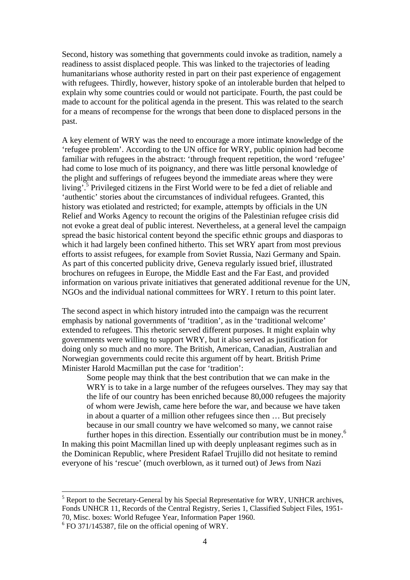Second, history was something that governments could invoke as tradition, namely a readiness to assist displaced people. This was linked to the trajectories of leading humanitarians whose authority rested in part on their past experience of engagement with refugees. Thirdly, however, history spoke of an intolerable burden that helped to explain why some countries could or would not participate. Fourth, the past could be made to account for the political agenda in the present. This was related to the search for a means of recompense for the wrongs that been done to displaced persons in the past.

A key element of WRY was the need to encourage a more intimate knowledge of the 'refugee problem'. According to the UN office for WRY, public opinion had become familiar with refugees in the abstract: 'through frequent repetition, the word 'refugee' had come to lose much of its poignancy, and there was little personal knowledge of the plight and sufferings of refugees beyond the immediate areas where they were living<sup>5</sup>.<sup>5</sup> Privileged citizens in the First World were to be fed a diet of reliable and 'authentic' stories about the circumstances of individual refugees. Granted, this history was etiolated and restricted; for example, attempts by officials in the UN Relief and Works Agency to recount the origins of the Palestinian refugee crisis did not evoke a great deal of public interest. Nevertheless, at a general level the campaign spread the basic historical content beyond the specific ethnic groups and diasporas to which it had largely been confined hitherto. This set WRY apart from most previous efforts to assist refugees, for example from Soviet Russia, Nazi Germany and Spain. As part of this concerted publicity drive, Geneva regularly issued brief, illustrated brochures on refugees in Europe, the Middle East and the Far East, and provided information on various private initiatives that generated additional revenue for the UN, NGOs and the individual national committees for WRY. I return to this point later.

The second aspect in which history intruded into the campaign was the recurrent emphasis by national governments of 'tradition', as in the 'traditional welcome' extended to refugees. This rhetoric served different purposes. It might explain why governments were willing to support WRY, but it also served as justification for doing only so much and no more. The British, American, Canadian, Australian and Norwegian governments could recite this argument off by heart. British Prime Minister Harold Macmillan put the case for 'tradition':

Some people may think that the best contribution that we can make in the WRY is to take in a large number of the refugees ourselves. They may say that the life of our country has been enriched because 80,000 refugees the majority of whom were Jewish, came here before the war, and because we have taken in about a quarter of a million other refugees since then … But precisely because in our small country we have welcomed so many, we cannot raise further hopes in this direction. Essentially our contribution must be in money.<sup>6</sup>

In making this point Macmillan lined up with deeply unpleasant regimes such as in the Dominican Republic, where President Rafael Trujillo did not hesitate to remind everyone of his 'rescue' (much overblown, as it turned out) of Jews from Nazi

 $<sup>5</sup>$  Report to the Secretary-General by his Special Representative for WRY, UNHCR archives,</sup> Fonds UNHCR 11, Records of the Central Registry, Series 1, Classified Subject Files, 1951- 70, Misc. boxes: World Refugee Year, Information Paper 1960.

 $6$  FO 371/145387, file on the official opening of WRY.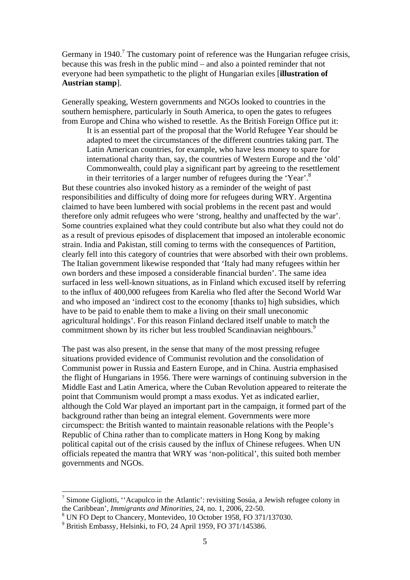Germany in  $1940$ .<sup>7</sup> The customary point of reference was the Hungarian refugee crisis, because this was fresh in the public mind – and also a pointed reminder that not everyone had been sympathetic to the plight of Hungarian exiles [**illustration of Austrian stamp**].

Generally speaking, Western governments and NGOs looked to countries in the southern hemisphere, particularly in South America, to open the gates to refugees from Europe and China who wished to resettle. As the British Foreign Office put it:

It is an essential part of the proposal that the World Refugee Year should be adapted to meet the circumstances of the different countries taking part. The Latin American countries, for example, who have less money to spare for international charity than, say, the countries of Western Europe and the 'old' Commonwealth, could play a significant part by agreeing to the resettlement

in their territories of a larger number of refugees during the 'Year'.<sup>8</sup> But these countries also invoked history as a reminder of the weight of past responsibilities and difficulty of doing more for refugees during WRY. Argentina claimed to have been lumbered with social problems in the recent past and would therefore only admit refugees who were 'strong, healthy and unaffected by the war'. Some countries explained what they could contribute but also what they could not do as a result of previous episodes of displacement that imposed an intolerable economic strain. India and Pakistan, still coming to terms with the consequences of Partition, clearly fell into this category of countries that were absorbed with their own problems. The Italian government likewise responded that 'Italy had many refugees within her own borders and these imposed a considerable financial burden'. The same idea surfaced in less well-known situations, as in Finland which excused itself by referring to the influx of 400,000 refugees from Karelia who fled after the Second World War and who imposed an 'indirect cost to the economy [thanks to] high subsidies, which have to be paid to enable them to make a living on their small uneconomic agricultural holdings'. For this reason Finland declared itself unable to match the commitment shown by its richer but less troubled Scandinavian neighbours.<sup>9</sup>

The past was also present, in the sense that many of the most pressing refugee situations provided evidence of Communist revolution and the consolidation of Communist power in Russia and Eastern Europe, and in China. Austria emphasised the flight of Hungarians in 1956. There were warnings of continuing subversion in the Middle East and Latin America, where the Cuban Revolution appeared to reiterate the point that Communism would prompt a mass exodus. Yet as indicated earlier, although the Cold War played an important part in the campaign, it formed part of the background rather than being an integral element. Governments were more circumspect: the British wanted to maintain reasonable relations with the People's Republic of China rather than to complicate matters in Hong Kong by making political capital out of the crisis caused by the influx of Chinese refugees. When UN officials repeated the mantra that WRY was 'non-political', this suited both member governments and NGOs.

<sup>&</sup>lt;sup>7</sup> Simone Gigliotti, "Acapulco in the Atlantic": revisiting Sosúa, a Jewish refugee colony in the Caribbean', *Immigrants and Minorities*, 24, no. 1, 2006, 22-50.

<sup>8</sup> UN FO Dept to Chancery, Montevideo, 10 October 1958, FO 371/137030.

<sup>9</sup> British Embassy, Helsinki, to FO, 24 April 1959, FO 371/145386.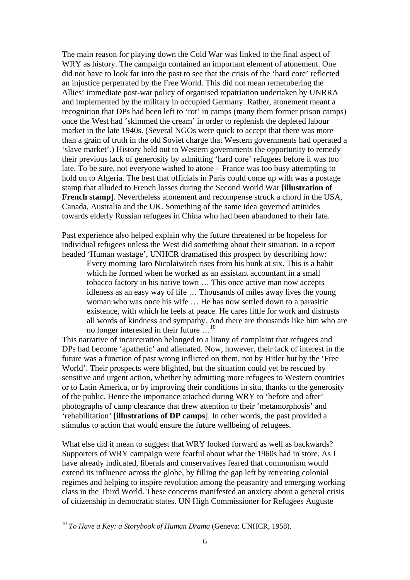The main reason for playing down the Cold War was linked to the final aspect of WRY as history. The campaign contained an important element of atonement. One did not have to look far into the past to see that the crisis of the 'hard core' reflected an injustice perpetrated by the Free World. This did not mean remembering the Allies' immediate post-war policy of organised repatriation undertaken by UNRRA and implemented by the military in occupied Germany. Rather, atonement meant a recognition that DPs had been left to 'rot' in camps (many them former prison camps) once the West had 'skimmed the cream' in order to replenish the depleted labour market in the late 1940s. (Several NGOs were quick to accept that there was more than a grain of truth in the old Soviet charge that Western governments had operated a 'slave market'.) History held out to Western governments the opportunity to remedy their previous lack of generosity by admitting 'hard core' refugees before it was too late. To be sure, not everyone wished to atone – France was too busy attempting to hold on to Algeria. The best that officials in Paris could come up with was a postage stamp that alluded to French losses during the Second World War [**illustration of French stamp**]. Nevertheless atonement and recompense struck a chord in the USA, Canada, Australia and the UK. Something of the same idea governed attitudes towards elderly Russian refugees in China who had been abandoned to their fate.

Past experience also helped explain why the future threatened to be hopeless for individual refugees unless the West did something about their situation. In a report headed 'Human wastage', UNHCR dramatised this prospect by describing how:

Every morning Jaro Nicolaiwitch rises from his bunk at six. This is a habit which he formed when he worked as an assistant accountant in a small tobacco factory in his native town … This once active man now accepts idleness as an easy way of life … Thousands of miles away lives the young woman who was once his wife … He has now settled down to a parasitic existence, with which he feels at peace. He cares little for work and distrusts all words of kindness and sympathy. And there are thousands like him who are no longer interested in their future …10

This narrative of incarceration belonged to a litany of complaint that refugees and DPs had become 'apathetic' and alienated. Now, however, their lack of interest in the future was a function of past wrong inflicted on them, not by Hitler but by the 'Free World'. Their prospects were blighted, but the situation could yet be rescued by sensitive and urgent action, whether by admitting more refugees to Western countries or to Latin America, or by improving their conditions in situ, thanks to the generosity of the public. Hence the importance attached during WRY to 'before and after' photographs of camp clearance that drew attention to their 'metamorphosis' and 'rehabilitation' [**illustrations of DP camps**]. In other words, the past provided a stimulus to action that would ensure the future wellbeing of refugees.

What else did it mean to suggest that WRY looked forward as well as backwards? Supporters of WRY campaign were fearful about what the 1960s had in store. As I have already indicated, liberals and conservatives feared that communism would extend its influence across the globe, by filling the gap left by retreating colonial regimes and helping to inspire revolution among the peasantry and emerging working class in the Third World. These concerns manifested an anxiety about a general crisis of citizenship in democratic states. UN High Commissioner for Refugees Auguste

<sup>10</sup> *To Have a Key: a Storybook of Human Drama* (Geneva: UNHCR, 1958).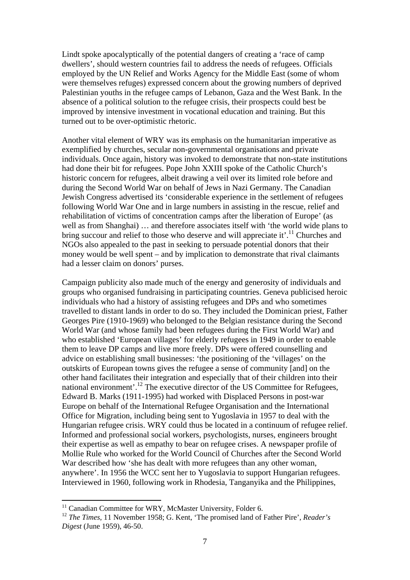Lindt spoke apocalyptically of the potential dangers of creating a 'race of camp dwellers', should western countries fail to address the needs of refugees. Officials employed by the UN Relief and Works Agency for the Middle East (some of whom were themselves refuges) expressed concern about the growing numbers of deprived Palestinian youths in the refugee camps of Lebanon, Gaza and the West Bank. In the absence of a political solution to the refugee crisis, their prospects could best be improved by intensive investment in vocational education and training. But this turned out to be over-optimistic rhetoric.

Another vital element of WRY was its emphasis on the humanitarian imperative as exemplified by churches, secular non-governmental organisations and private individuals. Once again, history was invoked to demonstrate that non-state institutions had done their bit for refugees. Pope John XXIII spoke of the Catholic Church's historic concern for refugees, albeit drawing a veil over its limited role before and during the Second World War on behalf of Jews in Nazi Germany. The Canadian Jewish Congress advertised its 'considerable experience in the settlement of refugees following World War One and in large numbers in assisting in the rescue, relief and rehabilitation of victims of concentration camps after the liberation of Europe' (as well as from Shanghai) … and therefore associates itself with 'the world wide plans to bring succour and relief to those who deserve and will appreciate it'.<sup>11</sup> Churches and NGOs also appealed to the past in seeking to persuade potential donors that their money would be well spent – and by implication to demonstrate that rival claimants had a lesser claim on donors' purses.

Campaign publicity also made much of the energy and generosity of individuals and groups who organised fundraising in participating countries. Geneva publicised heroic individuals who had a history of assisting refugees and DPs and who sometimes travelled to distant lands in order to do so. They included the Dominican priest, Father Georges Pire (1910-1969) who belonged to the Belgian resistance during the Second World War (and whose family had been refugees during the First World War) and who established 'European villages' for elderly refugees in 1949 in order to enable them to leave DP camps and live more freely. DPs were offered counselling and advice on establishing small businesses: 'the positioning of the 'villages' on the outskirts of European towns gives the refugee a sense of community [and] on the other hand facilitates their integration and especially that of their children into their national environment'.12 The executive director of the US Committee for Refugees, Edward B. Marks (1911-1995) had worked with Displaced Persons in post-war Europe on behalf of the International Refugee Organisation and the International Office for Migration, including being sent to Yugoslavia in 1957 to deal with the Hungarian refugee crisis. WRY could thus be located in a continuum of refugee relief. Informed and professional social workers, psychologists, nurses, engineers brought their expertise as well as empathy to bear on refugee crises. A newspaper profile of Mollie Rule who worked for the World Council of Churches after the Second World War described how 'she has dealt with more refugees than any other woman, anywhere'. In 1956 the WCC sent her to Yugoslavia to support Hungarian refugees. Interviewed in 1960, following work in Rhodesia, Tanganyika and the Philippines,

<sup>&</sup>lt;sup>11</sup> Canadian Committee for WRY, McMaster University, Folder 6.

<sup>12</sup> *The Times*, 11 November 1958; G. Kent, 'The promised land of Father Pire', *Reader's Digest* (June 1959), 46-50.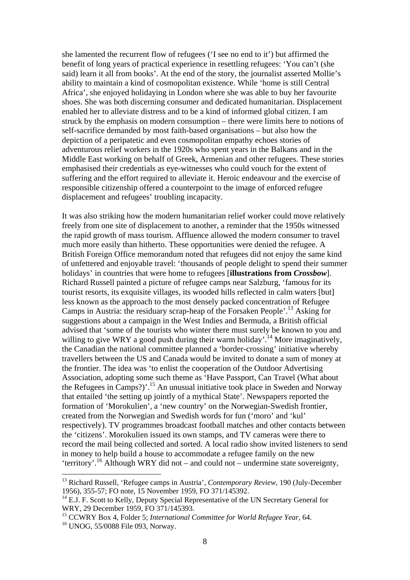she lamented the recurrent flow of refugees ('I see no end to it') but affirmed the benefit of long years of practical experience in resettling refugees: 'You can't (she said) learn it all from books'. At the end of the story, the journalist asserted Mollie's ability to maintain a kind of cosmopolitan existence. While 'home is still Central Africa', she enjoyed holidaying in London where she was able to buy her favourite shoes. She was both discerning consumer and dedicated humanitarian. Displacement enabled her to alleviate distress and to be a kind of informed global citizen. I am struck by the emphasis on modern consumption – there were limits here to notions of self-sacrifice demanded by most faith-based organisations – but also how the depiction of a peripatetic and even cosmopolitan empathy echoes stories of adventurous relief workers in the 1920s who spent years in the Balkans and in the Middle East working on behalf of Greek, Armenian and other refugees. These stories emphasised their credentials as eye-witnesses who could vouch for the extent of suffering and the effort required to alleviate it. Heroic endeavour and the exercise of responsible citizenship offered a counterpoint to the image of enforced refugee displacement and refugees' troubling incapacity.

It was also striking how the modern humanitarian relief worker could move relatively freely from one site of displacement to another, a reminder that the 1950s witnessed the rapid growth of mass tourism. Affluence allowed the modern consumer to travel much more easily than hitherto. These opportunities were denied the refugee. A British Foreign Office memorandum noted that refugees did not enjoy the same kind of unfettered and enjoyable travel: 'thousands of people delight to spend their summer holidays' in countries that were home to refugees [**illustrations from** *Crossbow*]. Richard Russell painted a picture of refugee camps near Salzburg, 'famous for its tourist resorts, its exquisite villages, its wooded hills reflected in calm waters [but] less known as the approach to the most densely packed concentration of Refugee Camps in Austria: the residuary scrap-heap of the Forsaken People'.13 Asking for suggestions about a campaign in the West Indies and Bermuda, a British official advised that 'some of the tourists who winter there must surely be known to you and willing to give WRY a good push during their warm holiday'.<sup>14</sup> More imaginatively, the Canadian the national committee planned a 'border-crossing' initiative whereby travellers between the US and Canada would be invited to donate a sum of money at the frontier. The idea was 'to enlist the cooperation of the Outdoor Advertising Association, adopting some such theme as 'Have Passport, Can Travel (What about the Refugees in Camps?)'.<sup>15</sup> An unusual initiative took place in Sweden and Norway that entailed 'the setting up jointly of a mythical State'. Newspapers reported the formation of 'Morokulien', a 'new country' on the Norwegian-Swedish frontier, created from the Norwegian and Swedish words for fun ('moro' and 'kul' respectively). TV programmes broadcast football matches and other contacts between the 'citizens'. Morokulien issued its own stamps, and TV cameras were there to record the mail being collected and sorted. A local radio show invited listeners to send in money to help build a house to accommodate a refugee family on the new 'territory'.<sup>16</sup> Although WRY did not – and could not – undermine state sovereignty,

<sup>&</sup>lt;sup>13</sup> Richard Russell, 'Refugee camps in Austria', *Contemporary Review*, 190 (July-December 1956), 355-57; FO note, 15 November 1959, FO 371/145392.

 $14$  E.J. F. Scott to Kelly, Deputy Special Representative of the UN Secretary General for WRY, 29 December 1959, FO 371/145393.

<sup>15</sup> CCWRY Box 4, Folder 5; *International Committee for World Refugee Year*, 64.

<sup>16</sup> UNOG, 55/0088 File 093, Norway.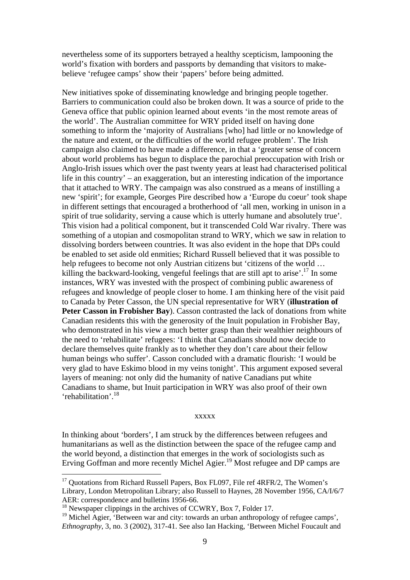nevertheless some of its supporters betrayed a healthy scepticism, lampooning the world's fixation with borders and passports by demanding that visitors to makebelieve 'refugee camps' show their 'papers' before being admitted.

New initiatives spoke of disseminating knowledge and bringing people together. Barriers to communication could also be broken down. It was a source of pride to the Geneva office that public opinion learned about events 'in the most remote areas of the world'. The Australian committee for WRY prided itself on having done something to inform the 'majority of Australians [who] had little or no knowledge of the nature and extent, or the difficulties of the world refugee problem'. The Irish campaign also claimed to have made a difference, in that a 'greater sense of concern about world problems has begun to displace the parochial preoccupation with Irish or Anglo-Irish issues which over the past twenty years at least had characterised political life in this country' – an exaggeration, but an interesting indication of the importance that it attached to WRY. The campaign was also construed as a means of instilling a new 'spirit'; for example, Georges Pire described how a 'Europe du coeur' took shape in different settings that encouraged a brotherhood of 'all men, working in unison in a spirit of true solidarity, serving a cause which is utterly humane and absolutely true'. This vision had a political component, but it transcended Cold War rivalry. There was something of a utopian and cosmopolitan strand to WRY, which we saw in relation to dissolving borders between countries. It was also evident in the hope that DPs could be enabled to set aside old enmities; Richard Russell believed that it was possible to help refugees to become not only Austrian citizens but 'citizens of the world … killing the backward-looking, vengeful feelings that are still apt to arise'.<sup>17</sup> In some instances, WRY was invested with the prospect of combining public awareness of refugees and knowledge of people closer to home. I am thinking here of the visit paid to Canada by Peter Casson, the UN special representative for WRY (**illustration of Peter Casson in Frobisher Bay**). Casson contrasted the lack of donations from white Canadian residents this with the generosity of the Inuit population in Frobisher Bay, who demonstrated in his view a much better grasp than their wealthier neighbours of the need to 'rehabilitate' refugees: 'I think that Canadians should now decide to declare themselves quite frankly as to whether they don't care about their fellow human beings who suffer'. Casson concluded with a dramatic flourish: 'I would be very glad to have Eskimo blood in my veins tonight'. This argument exposed several layers of meaning: not only did the humanity of native Canadians put white Canadians to shame, but Inuit participation in WRY was also proof of their own 'rehabilitation'.18

### xxxxx

In thinking about 'borders', I am struck by the differences between refugees and humanitarians as well as the distinction between the space of the refugee camp and the world beyond, a distinction that emerges in the work of sociologists such as Erving Goffman and more recently Michel Agier.<sup>19</sup> Most refugee and DP camps are

<sup>&</sup>lt;sup>17</sup> Ouotations from Richard Russell Papers, Box FL097, File ref 4RFR/2, The Women's Library, London Metropolitan Library; also Russell to Haynes, 28 November 1956, CA/I/6/7 AER: correspondence and bulletins 1956-66.

<sup>&</sup>lt;sup>18</sup> Newspaper clippings in the archives of CCWRY, Box 7, Folder 17.

<sup>&</sup>lt;sup>19</sup> Michel Agier, 'Between war and city: towards an urban anthropology of refugee camps', *Ethnography*, 3, no. 3 (2002), 317-41. See also Ian Hacking, 'Between Michel Foucault and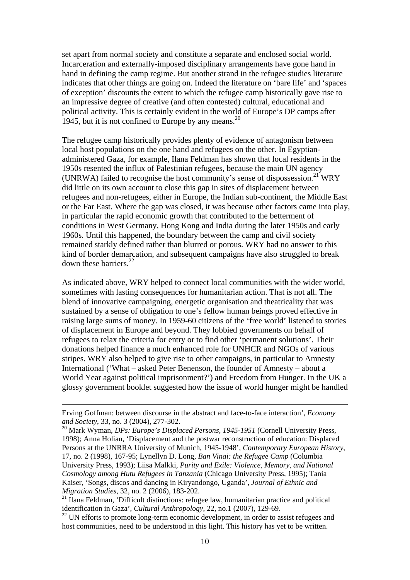set apart from normal society and constitute a separate and enclosed social world. Incarceration and externally-imposed disciplinary arrangements have gone hand in hand in defining the camp regime. But another strand in the refugee studies literature indicates that other things are going on. Indeed the literature on 'bare life' and 'spaces of exception' discounts the extent to which the refugee camp historically gave rise to an impressive degree of creative (and often contested) cultural, educational and political activity. This is certainly evident in the world of Europe's DP camps after 1945, but it is not confined to Europe by any means. $^{20}$ 

The refugee camp historically provides plenty of evidence of antagonism between local host populations on the one hand and refugees on the other. In Egyptianadministered Gaza, for example, Ilana Feldman has shown that local residents in the 1950s resented the influx of Palestinian refugees, because the main UN agency (UNRWA) failed to recognise the host community's sense of dispossession.<sup>21</sup> WRY did little on its own account to close this gap in sites of displacement between refugees and non-refugees, either in Europe, the Indian sub-continent, the Middle East or the Far East. Where the gap was closed, it was because other factors came into play, in particular the rapid economic growth that contributed to the betterment of conditions in West Germany, Hong Kong and India during the later 1950s and early 1960s. Until this happened, the boundary between the camp and civil society remained starkly defined rather than blurred or porous. WRY had no answer to this kind of border demarcation, and subsequent campaigns have also struggled to break down these barriers.<sup>22</sup>

As indicated above, WRY helped to connect local communities with the wider world, sometimes with lasting consequences for humanitarian action. That is not all. The blend of innovative campaigning, energetic organisation and theatricality that was sustained by a sense of obligation to one's fellow human beings proved effective in raising large sums of money. In 1959-60 citizens of the 'free world' listened to stories of displacement in Europe and beyond. They lobbied governments on behalf of refugees to relax the criteria for entry or to find other 'permanent solutions'. Their donations helped finance a much enhanced role for UNHCR and NGOs of various stripes. WRY also helped to give rise to other campaigns, in particular to Amnesty International ('What – asked Peter Benenson, the founder of Amnesty – about a World Year against political imprisonment?') and Freedom from Hunger. In the UK a glossy government booklet suggested how the issue of world hunger might be handled

Erving Goffman: between discourse in the abstract and face-to-face interaction', *Economy and Society*, 33, no. 3 (2004), 277-302.

<sup>20</sup> Mark Wyman, *DPs: Europe's Displaced Persons, 1945-1951* (Cornell University Press, 1998); Anna Holian, 'Displacement and the postwar reconstruction of education: Displaced Persons at the UNRRA University of Munich, 1945-1948', *Contemporary European History*, 17, no. 2 (1998), 167-95; Lynellyn D. Long, *Ban Vinai: the Refugee Camp* (Columbia University Press, 1993); Liisa Malkki, *Purity and Exile: Violence, Memory, and National Cosmology among Hutu Refugees in Tanzania* (Chicago University Press, 1995); Tania Kaiser, 'Songs, discos and dancing in Kiryandongo, Uganda', *Journal of Ethnic and Migration Studies*, 32, no. 2 (2006), 183-202.

 $21$  Ilana Feldman, 'Difficult distinctions: refugee law, humanitarian practice and political identification in Gaza', *Cultural Anthropology*, 22, no.1 (2007), 129-69.

 $22$  UN efforts to promote long-term economic development, in order to assist refugees and host communities, need to be understood in this light. This history has yet to be written.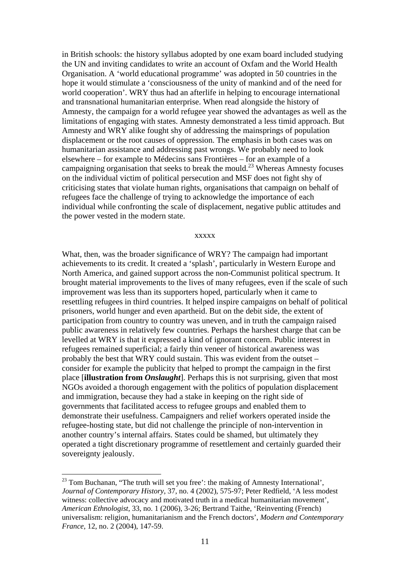in British schools: the history syllabus adopted by one exam board included studying the UN and inviting candidates to write an account of Oxfam and the World Health Organisation. A 'world educational programme' was adopted in 50 countries in the hope it would stimulate a 'consciousness of the unity of mankind and of the need for world cooperation'. WRY thus had an afterlife in helping to encourage international and transnational humanitarian enterprise. When read alongside the history of Amnesty, the campaign for a world refugee year showed the advantages as well as the limitations of engaging with states. Amnesty demonstrated a less timid approach. But Amnesty and WRY alike fought shy of addressing the mainsprings of population displacement or the root causes of oppression. The emphasis in both cases was on humanitarian assistance and addressing past wrongs. We probably need to look elsewhere – for example to Médecins sans Frontières – for an example of a campaigning organisation that seeks to break the mould.<sup>23</sup> Whereas Amnesty focuses on the individual victim of political persecution and MSF does not fight shy of criticising states that violate human rights, organisations that campaign on behalf of refugees face the challenge of trying to acknowledge the importance of each individual while confronting the scale of displacement, negative public attitudes and the power vested in the modern state.

### xxxxx

What, then, was the broader significance of WRY? The campaign had important achievements to its credit. It created a 'splash', particularly in Western Europe and North America, and gained support across the non-Communist political spectrum. It brought material improvements to the lives of many refugees, even if the scale of such improvement was less than its supporters hoped, particularly when it came to resettling refugees in third countries. It helped inspire campaigns on behalf of political prisoners, world hunger and even apartheid. But on the debit side, the extent of participation from country to country was uneven, and in truth the campaign raised public awareness in relatively few countries. Perhaps the harshest charge that can be levelled at WRY is that it expressed a kind of ignorant concern. Public interest in refugees remained superficial; a fairly thin veneer of historical awareness was probably the best that WRY could sustain. This was evident from the outset – consider for example the publicity that helped to prompt the campaign in the first place [**illustration from** *Onslaught*]. Perhaps this is not surprising, given that most NGOs avoided a thorough engagement with the politics of population displacement and immigration, because they had a stake in keeping on the right side of governments that facilitated access to refugee groups and enabled them to demonstrate their usefulness. Campaigners and relief workers operated inside the refugee-hosting state, but did not challenge the principle of non-intervention in another country's internal affairs. States could be shamed, but ultimately they operated a tight discretionary programme of resettlement and certainly guarded their sovereignty jealously.

 $23$  Tom Buchanan, "The truth will set you free': the making of Amnesty International', *Journal of Contemporary History*, 37, no. 4 (2002), 575-97; Peter Redfield, 'A less modest witness: collective advocacy and motivated truth in a medical humanitarian movement', *American Ethnologist*, 33, no. 1 (2006), 3-26; Bertrand Taithe, 'Reinventing (French) universalism: religion, humanitarianism and the French doctors', *Modern and Contemporary France*, 12, no. 2 (2004), 147-59.